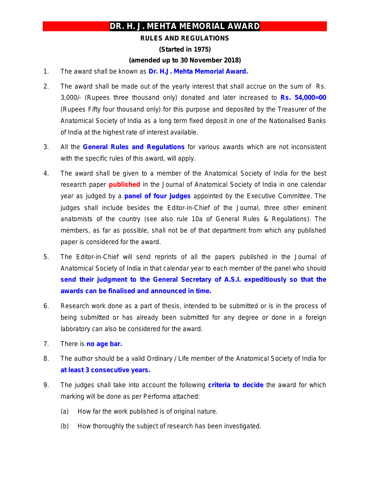## **DR. H. J. MEHTA MEMORIAL AWARD**

## **RULES AND REGULATIONS**

**(Started in 1975)** 

## **(amended up to 30 November 2018)**

- 1. The award shall be known as **Dr. H.J. Mehta Memorial Award.**
- 2. The award shall be made out of the yearly interest that shall accrue on the sum of Rs. 3,000/- (Rupees three thousand only) donated and later increased to **Rs. 54,000=00** (Rupees Fifty four thousand only) for this purpose and deposited by the Treasurer of the Anatomical Society of India as a long term fixed deposit in one of the Nationalised Banks of India at the highest rate of interest available.
- 3. All the **General Rules and Regulations** for various awards which are not inconsistent with the specific rules of this award, will apply.
- 4. The award shall be given to a member of the Anatomical Society of India for the best research paper **published** in the Journal of Anatomical Society of India in one calendar year as judged by a **panel of four judges** appointed by the Executive Committee. The judges shall include besides the Editor-in-Chief of the Journal, three other eminent anatomists of the country *(see also rule 10a of General Rules & Regulations)*. The members, as far as possible, shall not be of that department from which any published paper is considered for the award.
- 5. The Editor-in-Chief will send reprints of all the papers published in the Journal of Anatomical Society of India in that calendar year to each member of the panel who should **send their judgment to the General Secretary of A.S.I. expeditiously so that the awards can be finalised and announced in time.**
- 6. Research work done as a part of thesis, intended to be submitted or is in the process of being submitted or has already been submitted for any degree or done in a foreign laboratory can also be considered for the award.
- 7. There is *no age bar.*
- 8. The author should be a valid Ordinary / Life member of the Anatomical Society of India for **at least 3 consecutive years.**
- 9. The judges shall take into account the following **criteria to decide** the award for which marking will be done as per Performa attached:
	- (a) How far the work published is of original nature.
	- (b) How thoroughly the subject of research has been investigated.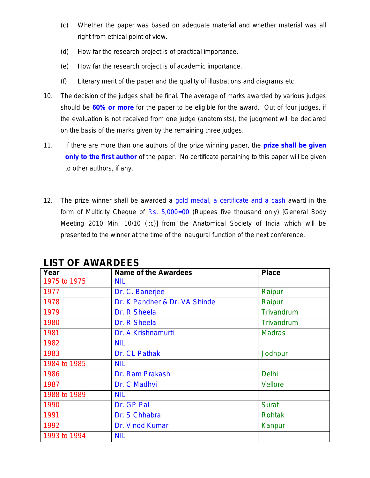- (c) Whether the paper was based on adequate material and whether material was all right from ethical point of view.
- (d) How far the research project is of practical importance.
- (e) How far the research project is of academic importance.
- (f) Literary merit of the paper and the quality of illustrations and diagrams etc.
- 10. The decision of the judges shall be final. The average of marks awarded by various judges should be **60% or more** for the paper to be eligible for the award. Out of four judges, if the evaluation is not received from one judge (anatomists), the judgment will be declared on the basis of the marks given by the remaining three judges.
- 11. If there are more than one authors of the prize winning paper, the **prize shall be given only to the first author** of the paper. No certificate pertaining to this paper will be given to other authors, if any.
- 12. The prize winner shall be awarded a gold medal, a certificate and a cash award in the form of Multicity Cheque of Rs. 5,000=00 (Rupees five thousand only) *[General Body Meeting 2010 Min. 10/10 (i:c)]* from the Anatomical Society of India which will be presented to the winner at the time of the inaugural function of the next conference.

| Year         | <b>Name of the Awardees</b>   | <b>Place</b>   |
|--------------|-------------------------------|----------------|
| 1975 to 1975 | <b>NIL</b>                    |                |
| 1977         | Dr. C. Banerjee               | Raipur         |
| 1978         | Dr. K Pandher & Dr. VA Shinde | Raipur         |
| 1979         | Dr. R Sheela                  | Trivandrum     |
| 1980         | Dr. R Sheela                  | Trivandrum     |
| 1981         | Dr. A Krishnamurti            | <b>Madras</b>  |
| 1982         | <b>NIL</b>                    |                |
| 1983         | Dr. CL Pathak                 | Jodhpur        |
| 1984 to 1985 | <b>NIL</b>                    |                |
| 1986         | Dr. Ram Prakash               | <b>Delhi</b>   |
| 1987         | Dr. C Madhvi                  | <b>Vellore</b> |
| 1988 to 1989 | <b>NIL</b>                    |                |
| 1990         | Dr. GP Pal                    | <b>Surat</b>   |
| 1991         | Dr. S Chhabra                 | <b>Rohtak</b>  |
| 1992         | Dr. Vinod Kumar               | Kanpur         |
| 1993 to 1994 | <b>NIL</b>                    |                |

**LIST OF AWARDEES**